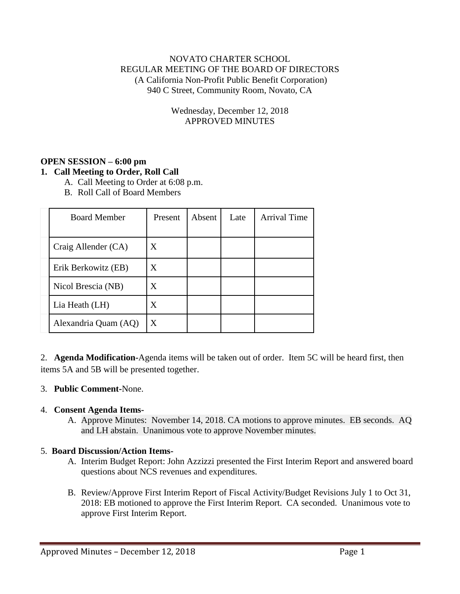## NOVATO CHARTER SCHOOL REGULAR MEETING OF THE BOARD OF DIRECTORS (A California Non-Profit Public Benefit Corporation) 940 C Street, Community Room, Novato, CA

Wednesday, December 12, 2018 APPROVED MINUTES

# **OPEN SESSION – 6:00 pm**

## **1. Call Meeting to Order, Roll Call**

- A. Call Meeting to Order at 6:08 p.m.
- B. Roll Call of Board Members

| <b>Board Member</b>  | Present | Absent | Late | <b>Arrival Time</b> |
|----------------------|---------|--------|------|---------------------|
| Craig Allender (CA)  | X       |        |      |                     |
| Erik Berkowitz (EB)  | X       |        |      |                     |
| Nicol Brescia (NB)   | X       |        |      |                     |
| Lia Heath (LH)       | X       |        |      |                     |
| Alexandria Quam (AQ) | X       |        |      |                     |

2. **Agenda Modification-**Agenda items will be taken out of order. Item 5C will be heard first, then items 5A and 5B will be presented together.

#### 3. **Public Comment-**None.

#### 4. **Consent Agenda Items-**

A. Approve Minutes: November 14, 2018. CA motions to approve minutes. EB seconds. AQ and LH abstain. Unanimous vote to approve November minutes.

#### 5. **Board Discussion/Action Items-**

- A. Interim Budget Report: John Azzizzi presented the First Interim Report and answered board questions about NCS revenues and expenditures.
- B. Review/Approve First Interim Report of Fiscal Activity/Budget Revisions July 1 to Oct 31, 2018: EB motioned to approve the First Interim Report. CA seconded. Unanimous vote to approve First Interim Report.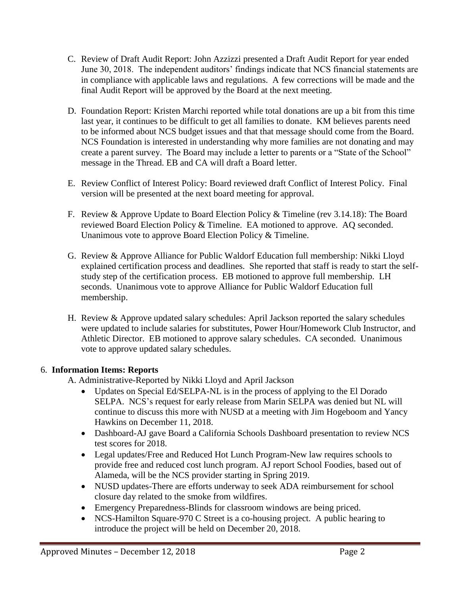- C. Review of Draft Audit Report: John Azzizzi presented a Draft Audit Report for year ended June 30, 2018. The independent auditors' findings indicate that NCS financial statements are in compliance with applicable laws and regulations. A few corrections will be made and the final Audit Report will be approved by the Board at the next meeting.
- D. Foundation Report: Kristen Marchi reported while total donations are up a bit from this time last year, it continues to be difficult to get all families to donate. KM believes parents need to be informed about NCS budget issues and that that message should come from the Board. NCS Foundation is interested in understanding why more families are not donating and may create a parent survey. The Board may include a letter to parents or a "State of the School" message in the Thread. EB and CA will draft a Board letter.
- E. Review Conflict of Interest Policy: Board reviewed draft Conflict of Interest Policy. Final version will be presented at the next board meeting for approval.
- F. Review & Approve Update to Board Election Policy & Timeline (rev 3.14.18): The Board reviewed Board Election Policy & Timeline. EA motioned to approve. AQ seconded. Unanimous vote to approve Board Election Policy & Timeline.
- G. Review & Approve Alliance for Public Waldorf Education full membership: Nikki Lloyd explained certification process and deadlines. She reported that staff is ready to start the selfstudy step of the certification process. EB motioned to approve full membership. LH seconds. Unanimous vote to approve Alliance for Public Waldorf Education full membership.
- H. Review & Approve updated salary schedules: April Jackson reported the salary schedules were updated to include salaries for substitutes, Power Hour/Homework Club Instructor, and Athletic Director. EB motioned to approve salary schedules. CA seconded. Unanimous vote to approve updated salary schedules.

# 6. **Information Items: Reports**

- A. Administrative-Reported by Nikki Lloyd and April Jackson
	- Updates on Special Ed/SELPA-NL is in the process of applying to the El Dorado SELPA. NCS's request for early release from Marin SELPA was denied but NL will continue to discuss this more with NUSD at a meeting with Jim Hogeboom and Yancy Hawkins on December 11, 2018.
	- Dashboard-AJ gave Board a California Schools Dashboard presentation to review NCS test scores for 2018.
	- Legal updates/Free and Reduced Hot Lunch Program-New law requires schools to provide free and reduced cost lunch program. AJ report School Foodies, based out of Alameda, will be the NCS provider starting in Spring 2019.
	- NUSD updates-There are efforts underway to seek ADA reimbursement for school closure day related to the smoke from wildfires.
	- Emergency Preparedness-Blinds for classroom windows are being priced.
	- NCS-Hamilton Square-970 C Street is a co-housing project. A public hearing to introduce the project will be held on December 20, 2018.